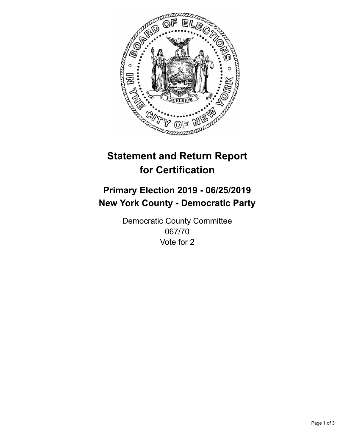

## **Statement and Return Report for Certification**

## **Primary Election 2019 - 06/25/2019 New York County - Democratic Party**

Democratic County Committee 067/70 Vote for 2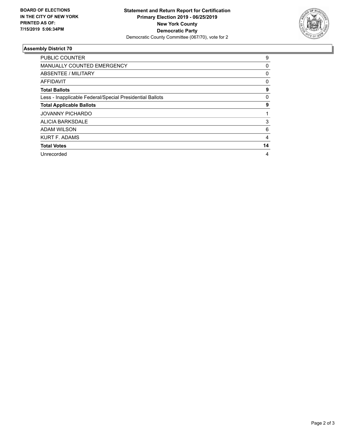

## **Assembly District 70**

| <b>PUBLIC COUNTER</b>                                    | 9            |
|----------------------------------------------------------|--------------|
| MANUALLY COUNTED EMERGENCY                               | 0            |
| ABSENTEE / MILITARY                                      | $\mathbf{0}$ |
| AFFIDAVIT                                                | $\mathbf{0}$ |
| <b>Total Ballots</b>                                     | 9            |
| Less - Inapplicable Federal/Special Presidential Ballots | 0            |
| <b>Total Applicable Ballots</b>                          | 9            |
| <b>JOVANNY PICHARDO</b>                                  |              |
| ALICIA BARKSDALE                                         | 3            |
| ADAM WILSON                                              | 6            |
| <b>KURT F. ADAMS</b>                                     | 4            |
| <b>Total Votes</b>                                       | 14           |
| Unrecorded                                               | 4            |